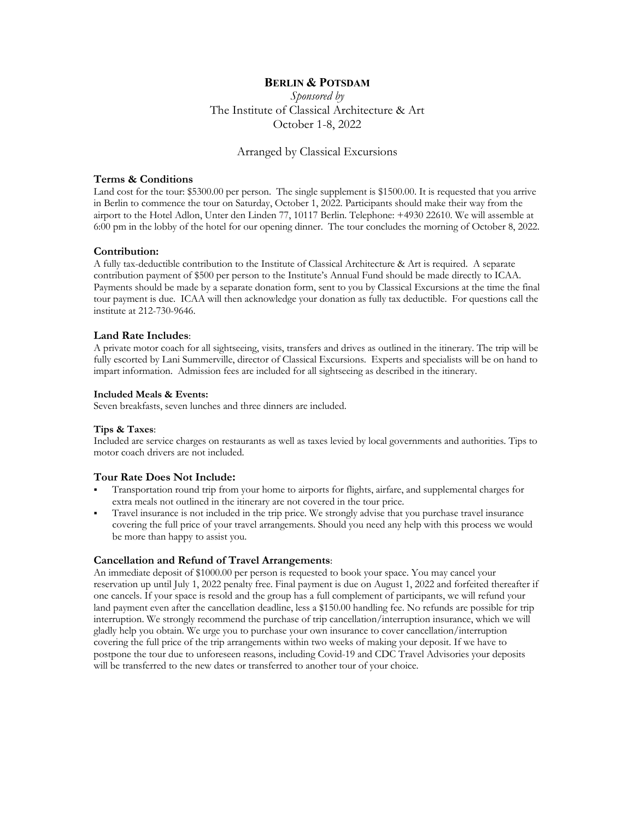# **BERLIN & POTSDAM**

*Sponsored by* The Institute of Classical Architecture & Art October 1-8, 2022

## Arranged by Classical Excursions

#### **Terms & Conditions**

Land cost for the tour: \$5300.00 per person. The single supplement is \$1500.00. It is requested that you arrive in Berlin to commence the tour on Saturday, October 1, 2022. Participants should make their way from the airport to the Hotel Adlon, Unter den Linden 77, 10117 Berlin. Telephone: +4930 22610. We will assemble at 6:00 pm in the lobby of the hotel for our opening dinner. The tour concludes the morning of October 8, 2022.

### **Contribution:**

A fully tax-deductible contribution to the Institute of Classical Architecture & Art is required. A separate contribution payment of \$500 per person to the Institute's Annual Fund should be made directly to ICAA. Payments should be made by a separate donation form, sent to you by Classical Excursions at the time the final tour payment is due. ICAA will then acknowledge your donation as fully tax deductible. For questions call the institute at 212-730-9646.

### **Land Rate Includes**:

A private motor coach for all sightseeing, visits, transfers and drives as outlined in the itinerary. The trip will be fully escorted by Lani Summerville, director of Classical Excursions. Experts and specialists will be on hand to impart information. Admission fees are included for all sightseeing as described in the itinerary.

#### **Included Meals & Events:**

Seven breakfasts, seven lunches and three dinners are included.

### **Tips & Taxes**:

Included are service charges on restaurants as well as taxes levied by local governments and authorities. Tips to motor coach drivers are not included.

## **Tour Rate Does Not Include:**

- Transportation round trip from your home to airports for flights, airfare, and supplemental charges for extra meals not outlined in the itinerary are not covered in the tour price.
- § Travel insurance is not included in the trip price. We strongly advise that you purchase travel insurance covering the full price of your travel arrangements. Should you need any help with this process we would be more than happy to assist you.

## **Cancellation and Refund of Travel Arrangements**:

An immediate deposit of \$1000.00 per person is requested to book your space. You may cancel your reservation up until July 1, 2022 penalty free. Final payment is due on August 1, 2022 and forfeited thereafter if one cancels. If your space is resold and the group has a full complement of participants, we will refund your land payment even after the cancellation deadline, less a \$150.00 handling fee. No refunds are possible for trip interruption. We strongly recommend the purchase of trip cancellation/interruption insurance, which we will gladly help you obtain. We urge you to purchase your own insurance to cover cancellation/interruption covering the full price of the trip arrangements within two weeks of making your deposit. If we have to postpone the tour due to unforeseen reasons, including Covid-19 and CDC Travel Advisories your deposits will be transferred to the new dates or transferred to another tour of your choice.